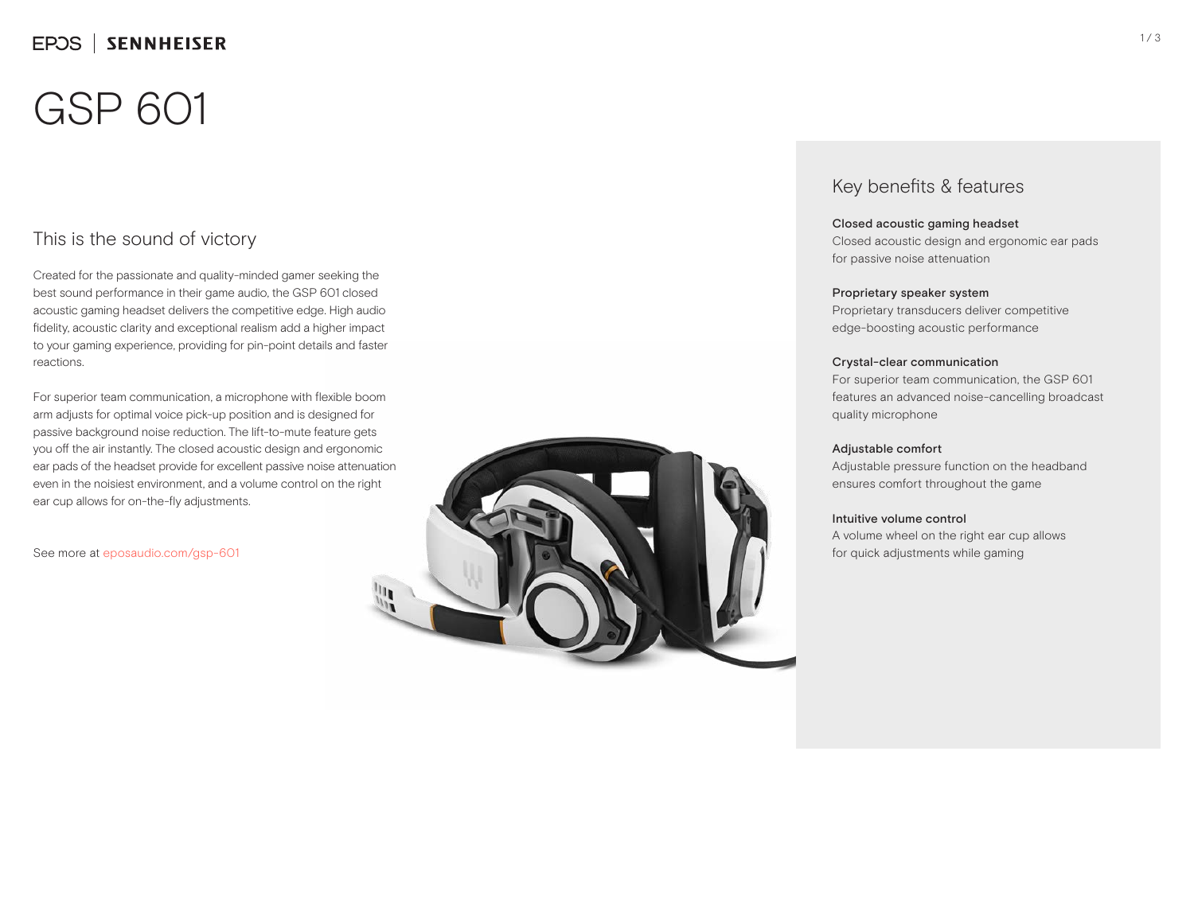# GSP 601

### This is the sound of victory

Created for the passionate and quality-minded gamer seeking the best sound performance in their game audio, the GSP 601 closed acoustic gaming headset delivers the competitive edge. High audio fidelity, acoustic clarity and exceptional realism add a higher impact to your gaming experience, providing for pin-point details and faster reactions.

For superior team communication, a microphone with flexible boom arm adjusts for optimal voice pick-up position and is designed for passive background noise reduction. The lift-to-mute feature gets you off the air instantly. The closed acoustic design and ergonomic ear pads of the headset provide for excellent passive noise attenuation even in the noisiest environment, and a volume control on the right ear cup allows for on-the-fly adjustments.

See more at eposaudio.com/gsp-601



### Key benefits & features

### Closed acoustic gaming headset

Closed acoustic design and ergonomic ear pads for passive noise attenuation

### Proprietary speaker system

Proprietary transducers deliver competitive edge-boosting acoustic performance

### Crystal-clear communication

For superior team communication, the GSP 601 features an advanced noise-cancelling broadcast quality microphone

### Adjustable comfort

Adjustable pressure function on the headband ensures comfort throughout the game

#### Intuitive volume control

A volume wheel on the right ear cup allows for quick adjustments while gaming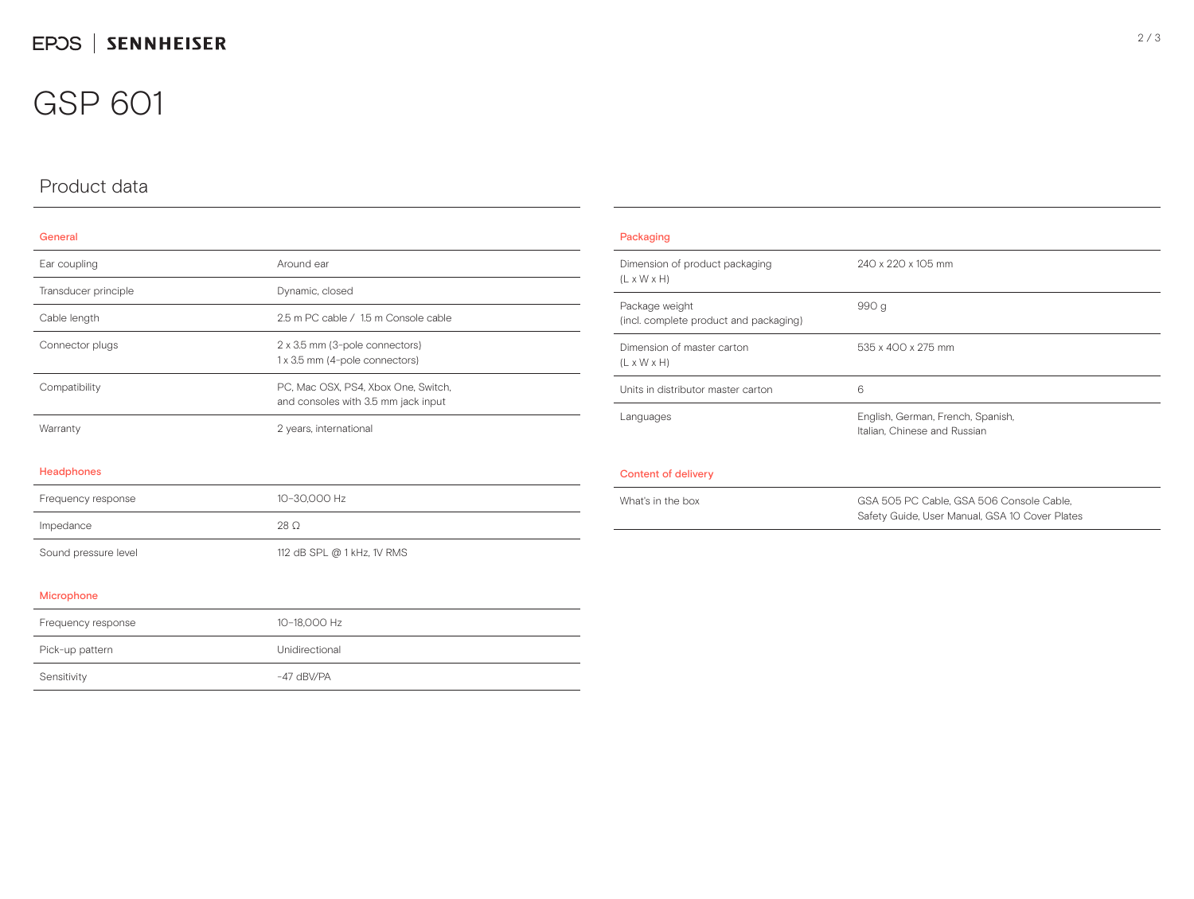## GSP 601

## Product data

### General

| Ear coupling         | Around ear                                                                 |  |
|----------------------|----------------------------------------------------------------------------|--|
| Transducer principle | Dynamic, closed                                                            |  |
| Cable length         | 2.5 m PC cable / 1.5 m Console cable                                       |  |
| Connector plugs      | 2 x 3.5 mm (3-pole connectors)<br>1 x 3.5 mm (4-pole connectors)           |  |
| Compatibility        | PC, Mac OSX, PS4, Xbox One, Switch,<br>and consoles with 3.5 mm jack input |  |
| Warranty             | 2 years, international                                                     |  |
| Headphones           |                                                                            |  |
| Frequency response   | 10-30,000 Hz                                                               |  |
| Impedance            | $28 \Omega$                                                                |  |
| Sound pressure level | 112 dB SPL @ 1 kHz, 1V RMS                                                 |  |

| Packaging                                                 |                                                                                            |  |
|-----------------------------------------------------------|--------------------------------------------------------------------------------------------|--|
| Dimension of product packaging<br>$(L \times W \times H)$ | 240 x 220 x 105 mm                                                                         |  |
| Package weight<br>(incl. complete product and packaging)  | 990 g                                                                                      |  |
| Dimension of master carton<br>$(L \times W \times H)$     | 535 x 400 x 275 mm                                                                         |  |
| Units in distributor master carton                        | 6                                                                                          |  |
| Languages                                                 | English, German, French, Spanish,<br>Italian, Chinese and Russian                          |  |
| Content of delivery                                       |                                                                                            |  |
| What's in the box                                         | GSA 505 PC Cable, GSA 506 Console Cable,<br>Safety Guide, User Manual, GSA 10 Cover Plates |  |

#### Microphone

| Frequency response | 10-18.000 Hz   |
|--------------------|----------------|
| Pick-up pattern    | Unidirectional |
| Sensitivity        | $-47$ dBV/PA   |